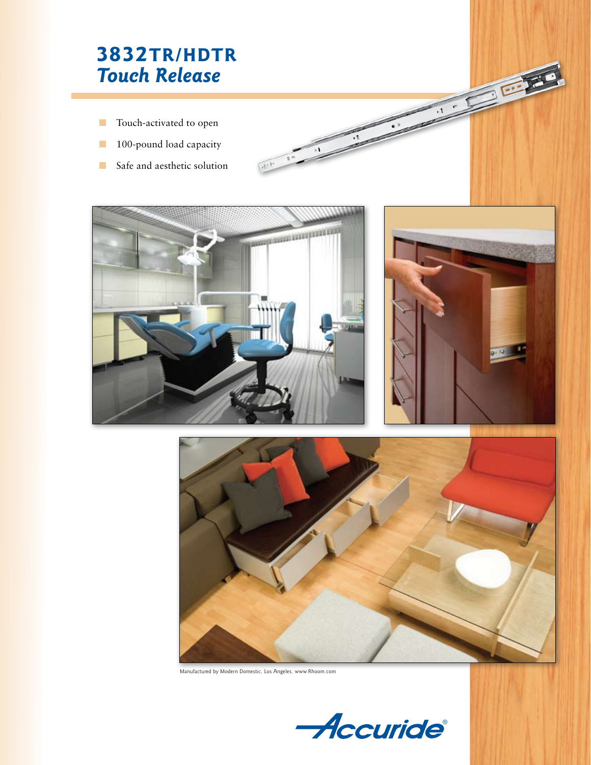# **3832TR/HDTR** *Touch Release*

- n Touch-activated to open
- 100-pound load capacity
- $\blacksquare$  Safe and aesthetic solution



۰۱



**CONTROL** 

 $\epsilon$ 



Manufactured by Modern Domestic, Los Angeles, www.Rhoom.com

Accuride®